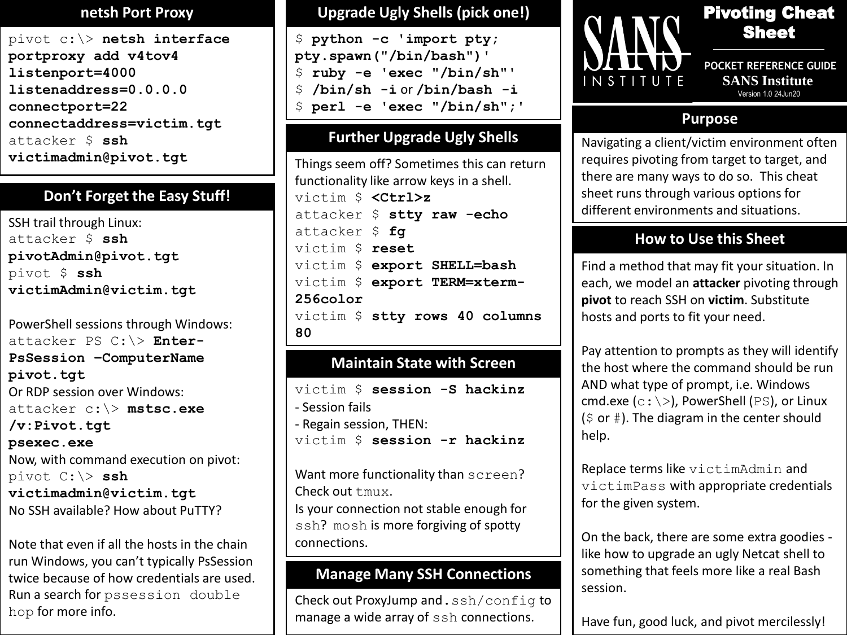#### **netsh Port Proxy**

pivot c:\> **netsh interface portproxy add v4tov4 listenport=4000 listenaddress=0.0.0.0 connectport=22 connectaddress=victim.tgt** attacker \$ **ssh victimadmin@pivot.tgt**

## **Don't Forget the Easy Stuff!**

SSH trail through Linux: attacker \$ **ssh pivotAdmin@pivot.tgt** pivot \$ **ssh victimAdmin@victim.tgt**

PowerShell sessions through Windows: attacker PS C:\> **Enter-PsSession –ComputerName pivot.tgt** Or RDP session over Windows: attacker c:\> **mstsc.exe /v:Pivot.tgt psexec.exe** Now, with command execution on pivot: pivot C:\> **ssh victimadmin@victim.tgt** No SSH available? How about PuTTY?

Note that even if all the hosts in the chain run Windows, you can't typically PsSession twice because of how credentials are used. Run a search for pssession double hop for more info.

#### **Upgrade Ugly Shells (pick one!)**

```
$ python -c 'import pty; 
pty.spawn("/bin/bash")'
$ ruby -e 'exec "/bin/sh"'
$ /bin/sh -i or /bin/bash -i
$ perl -e 'exec "/bin/sh";'
```
## **Further Upgrade Ugly Shells**

Things seem off? Sometimes this can return functionality like arrow keys in a shell. victim \$ **<Ctrl>z** attacker \$ **stty raw -echo** attacker \$ **fg** victim \$ **reset** victim \$ **export SHELL=bash** victim \$ **export TERM=xterm-256color** victim \$ **stty rows 40 columns 80**

## **Maintain State with Screen**

```
victim $ session -S hackinz
- Session fails
- Regain session, THEN:
victim $ session -r hackinz
```
Want more functionality than screen? Check out tmux. Is your connection not stable enough for ssh? mosh is more forgiving of spotty connections.

## **Manage Many SSH Connections**

Check out ProxyJump and.ssh/config to manage a wide array of ssh connections.



# Pivoting Cheat Sheet

**POCKET REFERENCE GUIDE SANS Institute** Version 1.0 24Jun20

### **Purpose**

Navigating a client/victim environment often requires pivoting from target to target, and there are many ways to do so. This cheat sheet runs through various options for different environments and situations.

## **How to Use this Sheet**

Find a method that may fit your situation. In each, we model an **attacker** pivoting through **pivot** to reach SSH on **victim**. Substitute hosts and ports to fit your need.

Pay attention to prompts as they will identify the host where the command should be run AND what type of prompt, i.e. Windows cmd.exe ( $c$ : \>), PowerShell (PS), or Linux  $(5$  or  $#$ ). The diagram in the center should help.

Replace terms like victimAdmin and victimPass with appropriate credentials for the given system.

On the back, there are some extra goodies like how to upgrade an ugly Netcat shell to something that feels more like a real Bash session.

Have fun, good luck, and pivot mercilessly!